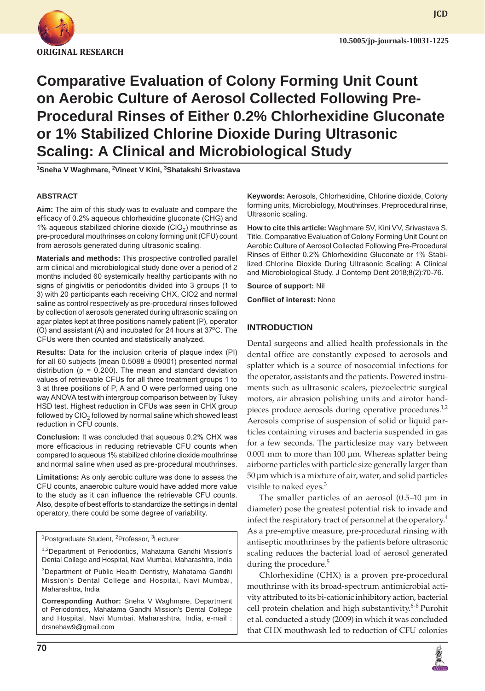

**JCD**

# **Comparative Evaluation of Colony Forming Unit Count on Aerobic Culture of Aerosol Collected Following Pre-Procedural Rinses of Either 0.2% Chlorhexidine Gluconate or 1% Stabilized Chlorine Dioxide During Ultrasonic Scaling: A Clinical and Microbiological Study**

**1 Sneha V Waghmare, 2 Vineet V Kini, 3 Shatakshi Srivastava**

#### **ABSTRACT**

**Aim:** The aim of this study was to evaluate and compare the efficacy of 0.2% aqueous chlorhexidine gluconate (CHG) and 1% aqueous stabilized chlorine dioxide  $(CIO<sub>2</sub>)$  mouthrinse as pre-procedural mouthrinses on colony forming unit (CFU) count from aerosols generated during ultrasonic scaling.

**Materials and methods:** This prospective controlled parallel arm clinical and microbiological study done over a period of 2 months included 60 systemically healthy participants with no signs of gingivitis or periodontitis divided into 3 groups (1 to 3) with 20 participants each receiving CHX, ClO2 and normal saline as control respectively as pre-procedural rinses followed by collection of aerosols generated during ultrasonic scaling on agar plates kept at three positions namely patient (P), operator (O) and assistant (A) and incubated for  $24$  hours at  $37^{\circ}$ C. The CFUs were then counted and statistically analyzed.

**Results:** Data for the inclusion criteria of plaque index (PI) for all 60 subjects (mean  $0.5088 \pm 09001$ ) presented normal distribution ( $p = 0.200$ ). The mean and standard deviation values of retrievable CFUs for all three treatment groups 1 to 3 at three positions of P, A and O were performed using one way ANOVA test with intergroup comparison between by Tukey HSD test. Highest reduction in CFUs was seen in CHX group followed by  $ClO<sub>2</sub>$  followed by normal saline which showed least reduction in CFU counts.

**Conclusion:** It was concluded that aqueous 0.2% CHX was more efficacious in reducing retrievable CFU counts when compared to aqueous 1% stabilized chlorine dioxide mouthrinse and normal saline when used as pre-procedural mouthrinses.

**Limitations:** As only aerobic culture was done to assess the CFU counts, anaerobic culture would have added more value to the study as it can influence the retrievable CFU counts. Also, despite of best efforts to standardize the settings in dental operatory, there could be some degree of variability.

<sup>1</sup>Postgraduate Student, <sup>2</sup>Professor, <sup>3</sup>Lecturer

<sup>1,2</sup>Department of Periodontics, Mahatama Gandhi Mission's Dental College and Hospital, Navi Mumbai, Maharashtra, India

3 Department of Public Health Dentistry, Mahatama Gandhi Mission's Dental College and Hospital, Navi Mumbai, Maharashtra, India

**Corresponding Author:** Sneha V Waghmare, Department of Periodontics, Mahatama Gandhi Mission's Dental College and Hospital, Navi Mumbai, Maharashtra, India, e-mail : drsnehaw9@gmail.com

**Keywords:** Aerosols, Chlorhexidine, Chlorine dioxide, Colony forming units, Microbiology, Mouthrinses, Preprocedural rinse, Ultrasonic scaling.

**How to cite this article:** Waghmare SV, Kini VV, Srivastava S. Title. Comparative Evaluation of Colony Forming Unit Count on Aerobic Culture of Aerosol Collected Following Pre-Procedural Rinses of Either 0.2% Chlorhexidine Gluconate or 1% Stabilized Chlorine Dioxide During Ultrasonic Scaling: A Clinical and Microbiological Study. J Contemp Dent 2018;8(2):70-76.

**Source of support:** Nil

**Conflict of interest:** None

#### **INTRODUCTION**

Dental surgeons and allied health professionals in the dental office are constantly exposed to aerosols and splatter which is a source of nosocomial infections for the operator, assistants and the patients. Powered instruments such as ultrasonic scalers, piezoelectric surgical motors, air abrasion polishing units and airotor handpieces produce aerosols during operative procedures.<sup>1,2</sup> Aerosols comprise of suspension of solid or liquid particles containing viruses and bacteria suspended in gas for a few seconds. The particlesize may vary between 0.001 mm to more than 100 µm. Whereas splatter being airborne particles with particle size generally larger than 50 µm which is a mixture of air, water, and solid particles visible to naked eyes. $3$ 

The smaller particles of an aerosol (0.5–10 µm in diameter) pose the greatest potential risk to invade and infect the respiratory tract of personnel at the operatory.<sup>4</sup> As a pre-emptive measure, pre-procedural rinsing with antiseptic mouthrinses by the patients before ultrasonic scaling reduces the bacterial load of aerosol generated during the procedure. $5$ 

Chlorhexidine (CHX) is a proven pre-procedural mouthrinse with its broad-spectrum antimicrobial activity attributed to its bi-cationic inhibitory action, bacterial cell protein chelation and high substantivity.<sup>6-8</sup> Purohit et al. conducted a study (2009) in which it was concluded that CHX mouthwash led to reduction of CFU colonies

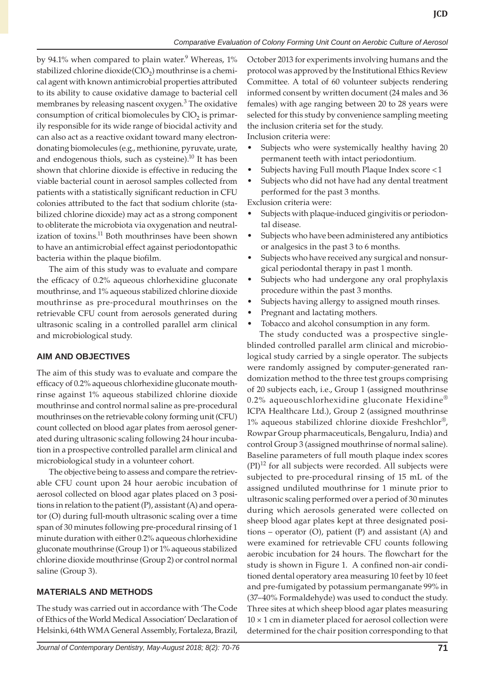by 94.1% when compared to plain water.<sup>9</sup> Whereas, 1% stabilized chlorine dioxide( $ClO<sub>2</sub>$ ) mouthrinse is a chemical agent with known antimicrobial properties attributed to its ability to cause oxidative damage to bacterial cell membranes by releasing nascent oxygen.<sup>3</sup> The oxidative consumption of critical biomolecules by  $ClO<sub>2</sub>$  is primarily responsible for its wide range of biocidal activity and can also act as a reactive oxidant toward many electrondonating biomolecules (e.g., methionine, pyruvate, urate, and endogenous thiols, such as cysteine). $^{10}$  It has been shown that chlorine dioxide is effective in reducing the viable bacterial count in aerosol samples collected from patients with a statistically significant reduction in CFU colonies attributed to the fact that sodium chlorite (stabilized chlorine dioxide) may act as a strong component to obliterate the microbiota via oxygenation and neutralization of toxins.<sup>11</sup> Both mouthrinses have been shown to have an antimicrobial effect against periodontopathic bacteria within the plaque biofilm.

The aim of this study was to evaluate and compare the efficacy of 0.2% aqueous chlorhexidine gluconate mouthrinse, and 1% aqueous stabilized chlorine dioxide mouthrinse as pre-procedural mouthrinses on the retrievable CFU count from aerosols generated during ultrasonic scaling in a controlled parallel arm clinical and microbiological study.

## **AIM AND OBJECTIVES**

The aim of this study was to evaluate and compare the efficacy of 0.2% aqueous chlorhexidine gluconate mouthrinse against 1% aqueous stabilized chlorine dioxide mouthrinse and control normal saline as pre-procedural mouthrinses on the retrievable colony forming unit (CFU) count collected on blood agar plates from aerosol generated during ultrasonic scaling following 24 hour incubation in a prospective controlled parallel arm clinical and microbiological study in a volunteer cohort.

The objective being to assess and compare the retrievable CFU count upon 24 hour aerobic incubation of aerosol collected on blood agar plates placed on 3 positions in relation to the patient (P), assistant (A) and operator (O) during full-mouth ultrasonic scaling over a time span of 30 minutes following pre-procedural rinsing of 1 minute duration with either 0.2% aqueous chlorhexidine gluconate mouthrinse (Group 1) or 1% aqueous stabilized chlorine dioxide mouthrinse (Group 2) or control normal saline (Group 3).

## **MATERIALS AND METHODS**

The study was carried out in accordance with 'The Code of Ethics of the World Medical Association' Declaration of Helsinki, 64th WMA General Assembly, Fortaleza, Brazil,

October 2013 for experiments involving humans and the protocol was approved by the Institutional Ethics Review Committee. A total of 60 volunteer subjects rendering informed consent by written document (24 males and 36 females) with age ranging between 20 to 28 years were selected for this study by convenience sampling meeting the inclusion criteria set for the study.

Inclusion criteria were:

- Subjects who were systemically healthy having 20 permanent teeth with intact periodontium.
- Subjects having Full mouth Plaque Index score <1
- • Subjects who did not have had any dental treatment performed for the past 3 months.

Exclusion criteria were:

- Subjects with plaque-induced gingivitis or periodontal disease.
- • Subjects who have been administered any antibiotics or analgesics in the past 3 to 6 months.
- Subjects who have received any surgical and nonsurgical periodontal therapy in past 1 month.
- • Subjects who had undergone any oral prophylaxis procedure within the past 3 months.
- Subjects having allergy to assigned mouth rinses.
- Pregnant and lactating mothers.
- • Tobacco and alcohol consumption in any form.

The study conducted was a prospective singleblinded controlled parallel arm clinical and microbiological study carried by a single operator. The subjects were randomly assigned by computer-generated randomization method to the three test groups comprising of 20 subjects each, i.e., Group 1 (assigned mouthrinse 0.2% aqueouschlorhexidine gluconate Hexidine® ICPA Healthcare Ltd.), Group 2 (assigned mouthrinse 1% aqueous stabilized chlorine dioxide Freshchlor®, Rowpar Group pharmaceuticals, Bengaluru, India) and control Group 3 (assigned mouthrinse of normal saline). Baseline parameters of full mouth plaque index scores  $(PI)^{12}$  for all subjects were recorded. All subjects were subjected to pre-procedural rinsing of 15 mL of the assigned undiluted mouthrinse for 1 minute prior to ultrasonic scaling performed over a period of 30 minutes during which aerosols generated were collected on sheep blood agar plates kept at three designated positions – operator (O), patient (P) and assistant (A) and were examined for retrievable CFU counts following aerobic incubation for 24 hours. The flowchart for the study is shown in Figure 1. A confined non-air conditioned dental operatory area measuring 10 feet by 10 feet and pre-fumigated by potassium permanganate 99% in (37–40% Formaldehyde) was used to conduct the study. Three sites at which sheep blood agar plates measuring  $10 \times 1$  cm in diameter placed for aerosol collection were determined for the chair position corresponding to that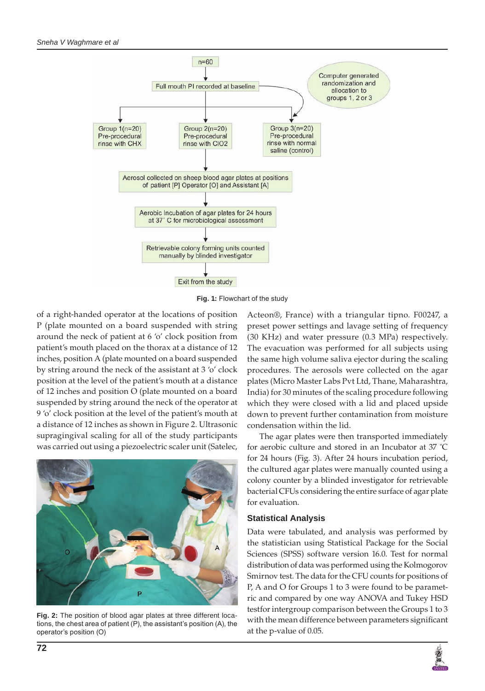

**Fig. 1:** Flowchart of the study

of a right-handed operator at the locations of position P (plate mounted on a board suspended with string around the neck of patient at 6 'o' clock position from patient's mouth placed on the thorax at a distance of 12 inches, position A (plate mounted on a board suspended by string around the neck of the assistant at 3 'o' clock position at the level of the patient's mouth at a distance of 12 inches and position O (plate mounted on a board suspended by string around the neck of the operator at 9 'o' clock position at the level of the patient's mouth at a distance of 12 inches as shown in Figure 2. Ultrasonic supragingival scaling for all of the study participants was carried out using a piezoelectric scaler unit (Satelec,



**Fig. 2:** The position of blood agar plates at three different locations, the chest area of patient (P), the assistant's position (A), the operator's position (O)

Acteon®, France) with a triangular tipno. F00247, a preset power settings and lavage setting of frequency (30 KHz) and water pressure (0.3 MPa) respectively. The evacuation was performed for all subjects using the same high volume saliva ejector during the scaling procedures. The aerosols were collected on the agar plates (Micro Master Labs Pvt Ltd, Thane, Maharashtra, India) for 30 minutes of the scaling procedure following which they were closed with a lid and placed upside down to prevent further contamination from moisture condensation within the lid.

The agar plates were then transported immediately for aerobic culture and stored in an Incubator at 37 ˚C for 24 hours (Fig. 3). After 24 hours incubation period, the cultured agar plates were manually counted using a colony counter by a blinded investigator for retrievable bacterial CFUs considering the entire surface of agar plate for evaluation.

## **Statistical Analysis**

Data were tabulated, and analysis was performed by the statistician using Statistical Package for the Social Sciences (SPSS) software version 16.0. Test for normal distribution of data was performed using the Kolmogorov Smirnov test. The data for the CFU counts for positions of P, A and O for Groups 1 to 3 were found to be parametric and compared by one way ANOVA and Tukey HSD testfor intergroup comparison between the Groups 1 to 3 with the mean difference between parameters significant at the p-value of 0.05.

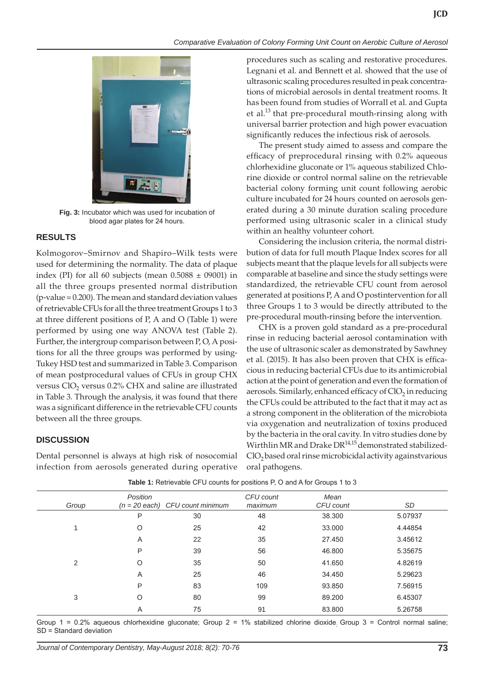

**Fig. 3:** Incubator which was used for incubation of blood agar plates for 24 hours.

# **RESULTS**

Kolmogorov–Smirnov and Shapiro–Wilk tests were used for determining the normality. The data of plaque index (PI) for all 60 subjects (mean  $0.5088 \pm 09001$ ) in all the three groups presented normal distribution (p-value = 0.200). The mean and standard deviation values of retrievable CFUs for all the three treatment Groups 1 to 3 at three different positions of P, A and O (Table 1) were performed by using one way ANOVA test (Table 2). Further, the intergroup comparison between P, O, A positions for all the three groups was performed by using-Tukey HSD test and summarized in Table 3. Comparison of mean postprocedural values of CFUs in group CHX versus  $ClO<sub>2</sub>$  versus 0.2% CHX and saline are illustrated in Table 3. Through the analysis, it was found that there was a significant difference in the retrievable CFU counts between all the three groups.

# **DISCUSSION**

Dental personnel is always at high risk of nosocomial infection from aerosols generated during operative

procedures such as scaling and restorative procedures. Legnani et al. and Bennett et al. showed that the use of ultrasonic scaling procedures resulted in peak concentrations of microbial aerosols in dental treatment rooms. It has been found from studies of Worrall et al. and Gupta et al.<sup>13</sup> that pre-procedural mouth-rinsing along with universal barrier protection and high power evacuation significantly reduces the infectious risk of aerosols.

**JCD**

The present study aimed to assess and compare the efficacy of preprocedural rinsing with 0.2% aqueous chlorhexidine gluconate or 1% aqueous stabilized Chlorine dioxide or control normal saline on the retrievable bacterial colony forming unit count following aerobic culture incubated for 24 hours counted on aerosols generated during a 30 minute duration scaling procedure performed using ultrasonic scaler in a clinical study within an healthy volunteer cohort.

Considering the inclusion criteria, the normal distribution of data for full mouth Plaque Index scores for all subjects meant that the plaque levels for all subjects were comparable at baseline and since the study settings were standardized, the retrievable CFU count from aerosol generated at positions P, A and O postintervention for all three Groups 1 to 3 would be directly attributed to the pre-procedural mouth-rinsing before the intervention.

CHX is a proven gold standard as a pre-procedural rinse in reducing bacterial aerosol contamination with the use of ultrasonic scaler as demonstrated by Sawhney et al. (2015). It has also been proven that CHX is efficacious in reducing bacterial CFUs due to its antimicrobial action at the point of generation and even the formation of aerosols. Similarly, enhanced efficacy of  $ClO<sub>2</sub>$  in reducing the CFUs could be attributed to the fact that it may act as a strong component in the obliteration of the microbiota via oxygenation and neutralization of toxins produced by the bacteria in the oral cavity. In vitro studies done by Wirthlin MR and Drake  $DR^{14,15}$  demonstrated stabilized-ClO<sub>2</sub> based oral rinse microbicidal activity againstvarious oral pathogens.

| Group          | Position | $(n = 20$ each) CFU count minimum | CFU count<br>maximum | Mean<br>CFU count | SD      |
|----------------|----------|-----------------------------------|----------------------|-------------------|---------|
|                | P        | 30                                | 48                   | 38.300            | 5.07937 |
|                | O        | 25                                | 42                   | 33.000            | 4.44854 |
|                | A        | 22                                | 35                   | 27.450            | 3.45612 |
|                | P        | 39                                | 56                   | 46.800            | 5.35675 |
| $\overline{2}$ | O        | 35                                | 50                   | 41.650            | 4.82619 |
|                | Α        | 25                                | 46                   | 34.450            | 5.29623 |
|                | P        | 83                                | 109                  | 93.850            | 7.56915 |
| 3              | O        | 80                                | 99                   | 89.200            | 6.45307 |
|                | Α        | 75                                | 91                   | 83.800            | 5.26758 |

**Table 1:** Retrievable CFU counts for positions P, O and A for Groups 1 to 3

Group 1 = 0.2% aqueous chlorhexidine gluconate; Group 2 = 1% stabilized chlorine dioxide. Group 3 = Control normal saline; SD = Standard deviation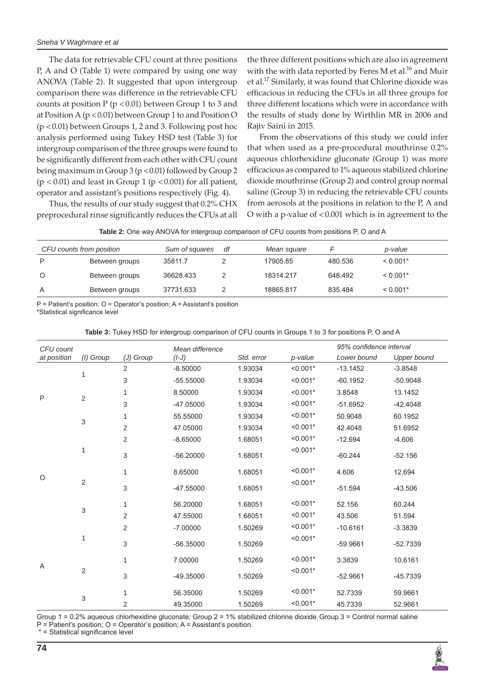The data for retrievable CFU count at three positions P, A and O (Table 1) were compared by using one way ANOVA (Table 2). It suggested that upon intergroup comparison there was difference in the retrievable CFU counts at position  $P (p < 0.01)$  between Group 1 to 3 and at Position A (p < 0.01) between Group 1 to and Position O (p <0.01) between Groups 1, 2 and 3. Following post hoc analysis performed using Tukey HSD test (Table 3) for intergroup comparison of the three groups were found to be significantly different from each other with CFU count being maximum in Group 3 (p < 0.01) followed by Group 2  $(p < 0.01)$  and least in Group 1 ( $p < 0.001$ ) for all patient, operator and assistant's positions respectively (Fig. 4).

Thus, the results of our study suggest that 0.2% CHX preprocedural rinse significantly reduces the CFUs at all

the three different positions which are also in agreement with the with data reported by Feres M et al.<sup>16</sup> and Muir et al.<sup>17</sup> Similarly, it was found that Chlorine dioxide was efficacious in reducing the CFUs in all three groups for three different locations which were in accordance with the results of study done by Wirthlin MR in 2006 and Rajiv Saini in 2015.

From the observations of this study we could infer that when used as a pre-procedural mouthrinse 0.2% aqueous chlorhexidine gluconate (Group 1) was more efficacious as compared to 1% aqueous stabilized chlorine dioxide mouthrinse (Group 2) and control group normal saline (Group 3) in reducing the retrievable CFU counts from aerosols at the positions in relation to the P, A and O with a p-value of <0.001 which is in agreement to the

| Table 2: One way ANOVA for intergroup comparison of CFU counts from positions P, O and A |  |  |
|------------------------------------------------------------------------------------------|--|--|
|------------------------------------------------------------------------------------------|--|--|

| CFU counts from position |                | Sum of squares | df | Mean square |         | p-value    |  |
|--------------------------|----------------|----------------|----|-------------|---------|------------|--|
| P                        | Between groups | 35811.7        |    | 17905.85    | 480.536 | $< 0.001*$ |  |
| O                        | Between groups | 36628.433      |    | 18314.217   | 648.492 | $< 0.001*$ |  |
| A                        | Between groups | 37731.633      |    | 18865.817   | 835.484 | $< 0.001*$ |  |

P = Patient's position; O = Operator's position; A = Assistant's position \*Statistical significance level

**Table 3:** Tukey HSD for intergroup comparison of CFU counts in Groups 1 to 3 for positions P, O and A

| CFU count   |                           |                | Mean difference |            |            | 95% confidence interval |                    |
|-------------|---------------------------|----------------|-----------------|------------|------------|-------------------------|--------------------|
| at position | (I) Group                 | (J) Group      | $(I-J)$         | Std. error | p-value    | Lower bound             | <b>Upper bound</b> |
| P           | 1                         | 2              | $-8.50000$      | 1.93034    | $< 0.001*$ | $-13.1452$              | $-3.8548$          |
|             |                           | 3              | $-55.55000$     | 1.93034    | $< 0.001*$ | $-60.1952$              | $-50.9048$         |
|             | $\overline{2}$            | 1              | 8.50000         | 1.93034    | $< 0.001*$ | 3.8548                  | 13.1452            |
|             |                           | 3              | $-47.05000$     | 1.93034    | $< 0.001*$ | $-51.6952$              | $-42.4048$         |
|             | $\ensuremath{\mathsf{3}}$ | 1              | 55.55000        | 1.93034    | $< 0.001*$ | 50.9048                 | 60.1952            |
|             |                           | 2              | 47.05000        | 1.93034    | $< 0.001*$ | 42.4048                 | 51.6952            |
| O           | 1                         | $\overline{2}$ | $-8.65000$      | 1.68051    | $< 0.001*$ | $-12.694$               | $-4.606$           |
|             |                           | 3              | $-56.20000$     | 1.68051    | $< 0.001*$ | $-60.244$               | $-52.156$          |
|             | $\overline{2}$            | 1              | 8.65000         | 1.68051    | $< 0.001*$ | 4.606                   | 12.694             |
|             |                           | 3              | $-47.55000$     | 1.68051    | $< 0.001*$ | $-51.594$               | $-43.506$          |
|             | $\ensuremath{\mathsf{3}}$ | 1              | 56.20000        | 1.68051    | $< 0.001*$ | 52.156                  | 60.244             |
|             |                           | 2              | 47.55000        | 1.68051    | $< 0.001*$ | 43.506                  | 51.594             |
| Α           | 1                         | 2              | $-7.00000$      | 1.50269    | $< 0.001*$ | $-10.6161$              | $-3.3839$          |
|             |                           | 3              | $-56.35000$     | 1.50269    | $< 0.001*$ | $-59.9661$              | $-52.7339$         |
|             | $\sqrt{2}$                | 1              | 7.00000         | 1.50269    | $< 0.001*$ | 3.3839                  | 10.6161            |
|             |                           | 3              | $-49.35000$     | 1.50269    | $< 0.001*$ | $-52.9661$              | $-45.7339$         |
|             | 3                         | 1              | 56.35000        | 1.50269    | $< 0.001*$ | 52.7339                 | 59.9661            |
|             |                           | 2              | 49.35000        | 1.50269    | $< 0.001*$ | 45.7339                 | 52.9661            |

Group 1 = 0.2% aqueous chlorhexidine gluconate; Group 2 = 1% stabilized chlorine dioxide. Group 3 = Control normal saline

P = Patient's position; O = Operator's position; A = Assistant's position.

\* = Statistical significance level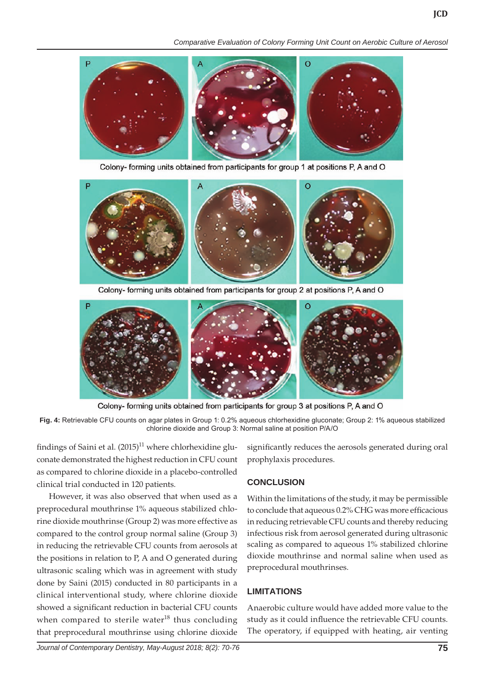*Comparative Evaluation of Colony Forming Unit Count on Aerobic Culture of Aerosol*



Colony- forming units obtained from participants for group 1 at positions P, A and O



Colony- forming units obtained from participants for group 2 at positions P, A and O



Colony- forming units obtained from participants for group 3 at positions P, A and O

**Fig. 4:** Retrievable CFU counts on agar plates in Group 1: 0.2% aqueous chlorhexidine gluconate; Group 2: 1% aqueous stabilized chlorine dioxide and Group 3: Normal saline at position P/A/O

findings of Saini et al.  $(2015)^{11}$  where chlorhexidine gluconate demonstrated the highest reduction in CFU count as compared to chlorine dioxide in a placebo-controlled clinical trial conducted in 120 patients.

However, it was also observed that when used as a preprocedural mouthrinse 1% aqueous stabilized chlorine dioxide mouthrinse (Group 2) was more effective as compared to the control group normal saline (Group 3) in reducing the retrievable CFU counts from aerosols at the positions in relation to P, A and O generated during ultrasonic scaling which was in agreement with study done by Saini (2015) conducted in 80 participants in a clinical interventional study, where chlorine dioxide showed a significant reduction in bacterial CFU counts when compared to sterile water<sup>18</sup> thus concluding that preprocedural mouthrinse using chlorine dioxide

significantly reduces the aerosols generated during oral prophylaxis procedures.

#### **CONCLUSION**

Within the limitations of the study, it may be permissible to conclude that aqueous 0.2% CHG was more efficacious in reducing retrievable CFU counts and thereby reducing infectious risk from aerosol generated during ultrasonic scaling as compared to aqueous 1% stabilized chlorine dioxide mouthrinse and normal saline when used as preprocedural mouthrinses.

#### **LIMITATIONS**

Anaerobic culture would have added more value to the study as it could influence the retrievable CFU counts. The operatory, if equipped with heating, air venting